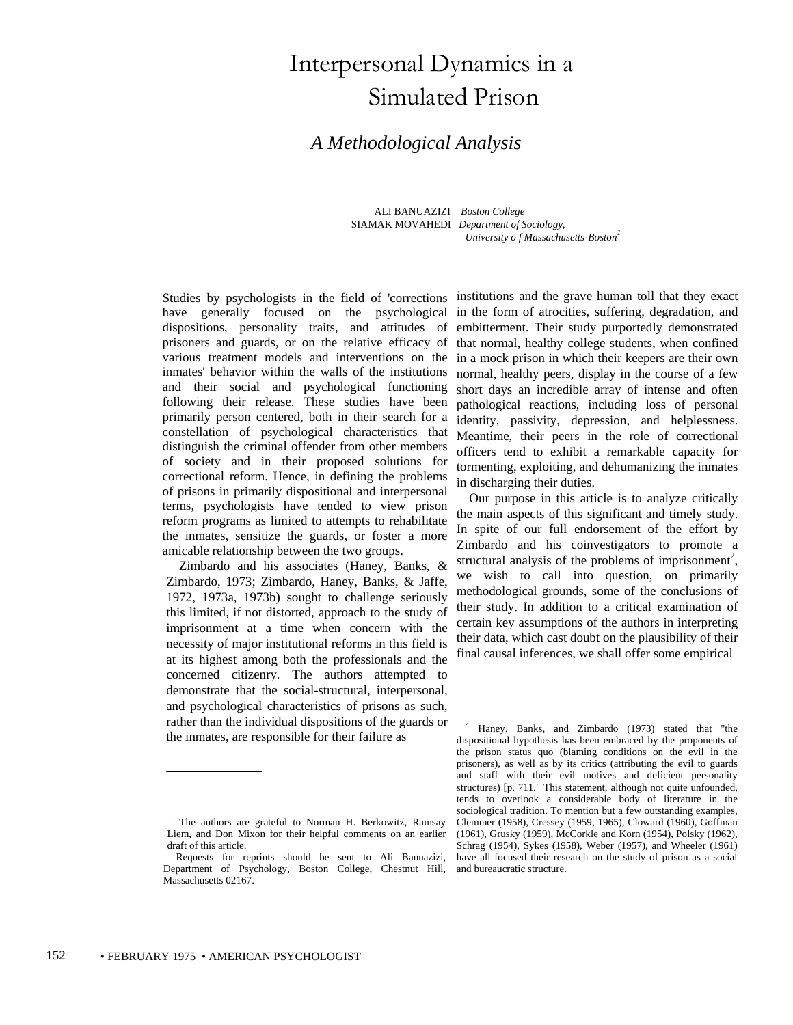# Interpersonal Dynamics in a Simulated Prison

# *A Methodological Analysis*

ALI BANUAZIZI *Boston College* 

 SIAMAK MOVAHEDI *Department of Sociology, University of Massachusetts-Boston*<sup>1</sup>

Studies by psychologists in the field of 'corrections have generally focused on the psychological dispositions, personality traits, and attitudes of prisoners and guards, or on the relative efficacy of various treatment models and interventions on the inmates' behavior within the walls of the institutions and their social and psychological functioning following their release. These studies have been primarily person centered, both in their search for a constellation of psychological characteristics that distinguish the criminal offender from other members of society and in their proposed solutions for correctional reform. Hence, in defining the problems of prisons in primarily dispositional and interpersonal terms, psychologists have tended to view prison reform programs as limited to attempts to rehabilitate the inmates, sensitize the guards, or foster a more amicable relationship between the two groups.

Zimbardo and his associates (Haney, Banks, & Zimbardo, 1973; Zimbardo, Haney, Banks, & Jaffe, 1972, 1973a, 1973b) sought to challenge seriously this limited, if not distorted, approach to the study of imprisonment at a time when concern with the necessity of major institutional reforms in this field is at its highest among both the professionals and the concerned citizenry. The authors attempted to demonstrate that the social-structural, interpersonal, and psychological characteristics of prisons as such, rather than the individual dispositions of the guards or the inmates, are responsible for their failure as

institutions and the grave human toll that they exact in the form of atrocities, suffering, degradation, and embitterment. Their study purportedly demonstrated that normal, healthy college students, when confined in a mock prison in which their keepers are their own normal, healthy peers, display in the course of a few short days an incredible array of intense and often pathological reactions, including loss of personal identity, passivity, depression, and helplessness. Meantime, their peers in the role of correctional officers tend to exhibit a remarkable capacity for tormenting, exploiting, and dehumanizing the inmates in discharging their duties.

Our purpose in this article is to analyze critically the main aspects of this significant and timely study. In spite of our full endorsement of the effort by Zimbardo and his coinvestigators to promote a structural analysis of the problems of imprisonment<sup>2</sup>, we wish to call into question, on primarily methodological grounds, some of the conclusions of their study. In addition to a critical examination of certain key assumptions of the authors in interpreting their data, which cast doubt on the plausibility of their final causal inferences, we shall offer some empirical

<sup>&</sup>lt;sup>1</sup> The authors are grateful to Norman H. Berkowitz, Ramsay Liem, and Don Mixon for their helpful comments on an earlier draft of this article.

Requests for reprints should be sent to Ali Banuazizi, Department of Psychology, Boston College, Chestnut Hill, Massachusetts 02167.

 $\overline{2}$  Haney, Banks, and Zimbardo (1973) stated that "the dispositional hypothesis has been embraced by the proponents of the prison status quo (blaming conditions on the evil in the prisoners), as well as by its critics (attributing the evil to guards and staff with their evil motives and deficient personality structures) [p. 711." This statement, although not quite unfounded, tends to overlook a considerable body of literature in the sociological tradition. To mention but a few outstanding examples, Clemmer (1958), Cressey (1959, 1965), Cloward (1960), Goffman (1961), Grusky (1959), McCorkle and Korn (1954), Polsky (1962), Schrag (1954), Sykes (1958), Weber (1957), and Wheeler (1961) have all focused their research on the study of prison as a social and bureaucratic structure.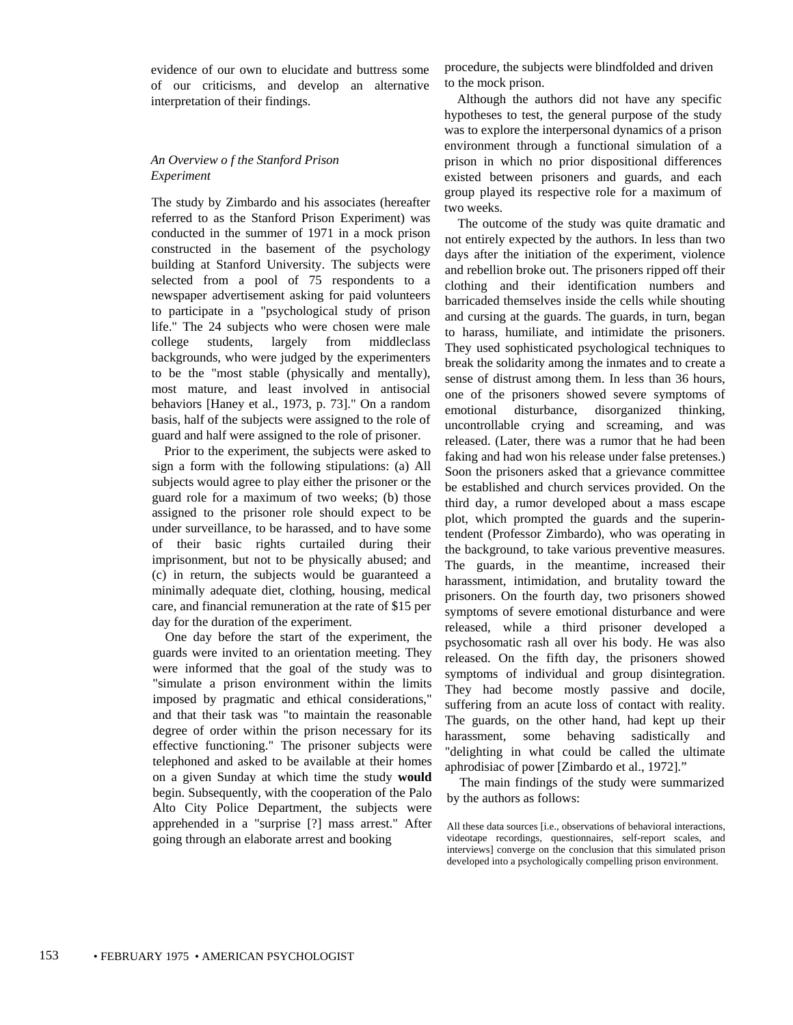evidence of our own to elucidate and buttress some of our criticisms, and develop an alternative interpretation of their findings.

# *An Overview o f the Stanford Prison Experiment*

The study by Zimbardo and his associates (hereafter referred to as the Stanford Prison Experiment) was conducted in the summer of 1971 in a mock prison constructed in the basement of the psychology building at Stanford University. The subjects were selected from a pool of 75 respondents to a newspaper advertisement asking for paid volunteers to participate in a "psychological study of prison life." The 24 subjects who were chosen were male college students, largely from middleclass backgrounds, who were judged by the experimenters to be the "most stable (physically and mentally), most mature, and least involved in antisocial behaviors [Haney et al., 1973, p. 73]." On a random basis, half of the subjects were assigned to the role of guard and half were assigned to the role of prisoner.

Prior to the experiment, the subjects were asked to sign a form with the following stipulations: (a) All subjects would agree to play either the prisoner or the guard role for a maximum of two weeks; (b) those assigned to the prisoner role should expect to be under surveillance, to be harassed, and to have some of their basic rights curtailed during their imprisonment, but not to be physically abused; and (c) in return, the subjects would be guaranteed a minimally adequate diet, clothing, housing, medical care, and financial remuneration at the rate of \$15 per day for the duration of the experiment.

One day before the start of the experiment, the guards were invited to an orientation meeting. They were informed that the goal of the study was to "simulate a prison environment within the limits imposed by pragmatic and ethical considerations," and that their task was "to maintain the reasonable degree of order within the prison necessary for its effective functioning." The prisoner subjects were telephoned and asked to be available at their homes on a given Sunday at which time the study **would** begin. Subsequently, with the cooperation of the Palo Alto City Police Department, the subjects were apprehended in a "surprise [?] mass arrest." After going through an elaborate arrest and booking

procedure, the subjects were blindfolded and driven to the mock prison.

Although the authors did not have any specific hypotheses to test, the general purpose of the study was to explore the interpersonal dynamics of a prison environment through a functional simulation of a prison in which no prior dispositional differences existed between prisoners and guards, and each group played its respective role for a maximum of two weeks.

The outcome of the study was quite dramatic and not entirely expected by the authors. In less than two days after the initiation of the experiment, violence and rebellion broke out. The prisoners ripped off their clothing and their identification numbers and barricaded themselves inside the cells while shouting and cursing at the guards. The guards, in turn, began to harass, humiliate, and intimidate the prisoners. They used sophisticated psychological techniques to break the solidarity among the inmates and to create a sense of distrust among them. In less than 36 hours, one of the prisoners showed severe symptoms of emotional disturbance, disorganized thinking, uncontrollable crying and screaming, and was released. (Later, there was a rumor that he had been faking and had won his release under false pretenses.) Soon the prisoners asked that a grievance committee be established and church services provided. On the third day, a rumor developed about a mass escape plot, which prompted the guards and the superintendent (Professor Zimbardo), who was operating in the background, to take various preventive measures. The guards, in the meantime, increased their harassment, intimidation, and brutality toward the prisoners. On the fourth day, two prisoners showed symptoms of severe emotional disturbance and were released, while a third prisoner developed a psychosomatic rash all over his body. He was also released. On the fifth day, the prisoners showed symptoms of individual and group disintegration. They had become mostly passive and docile, suffering from an acute loss of contact with reality. The guards, on the other hand, had kept up their harassment, some behaving sadistically and "delighting in what could be called the ultimate aphrodisiac of power [Zimbardo et al., 1972]."

The main findings of the study were summarized by the authors as follows:

All these data sources [i.e., observations of behavioral interactions, videotape recordings, questionnaires, self-report scales, and interviews] converge on the conclusion that this simulated prison developed into a psychologically compelling prison environment.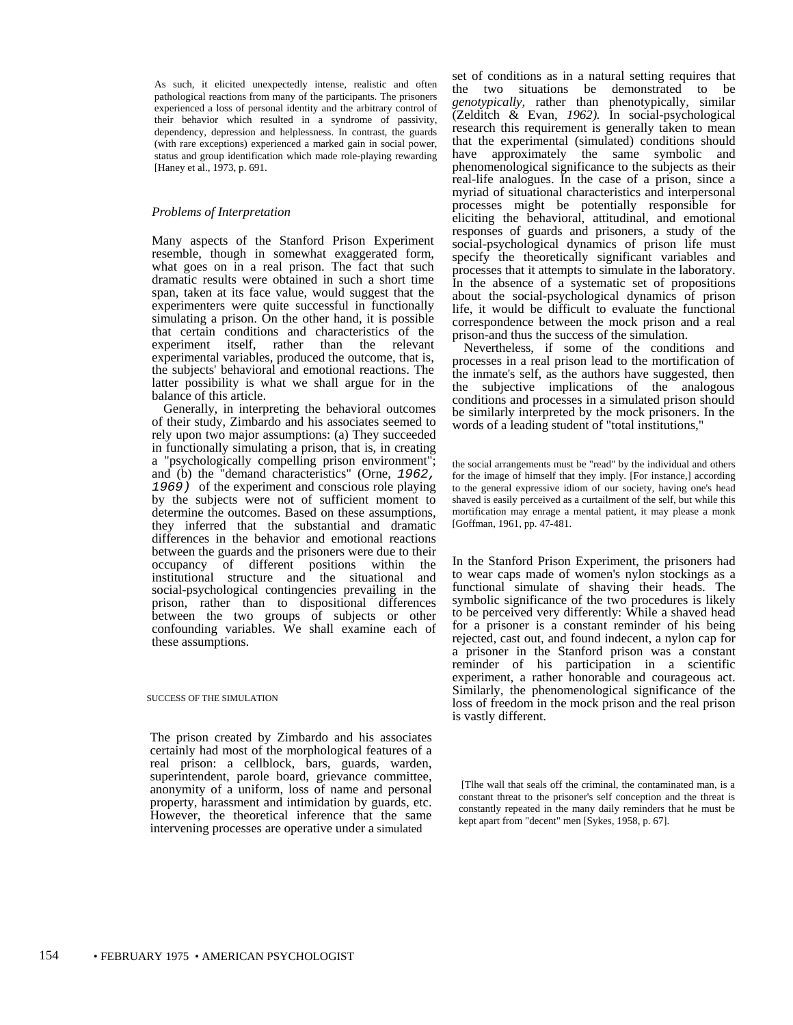As such, it elicited unexpectedly intense, realistic and often pathological reactions from many of the participants. The prisoners experienced a loss of personal identity and the arbitrary control of their behavior which resulted in a syndrome of passivity, dependency, depression and helplessness. In contrast, the guards (with rare exceptions) experienced a marked gain in social power, status and group identification which made role-playing rewarding [Haney et al., 1973, p. 691.

#### *Problems of Interpretation*

Many aspects of the Stanford Prison Experiment resemble, though in somewhat exaggerated form, what goes on in a real prison. The fact that such dramatic results were obtained in such a short time span, taken at its face value, would suggest that the experimenters were quite successful in functionally simulating a prison. On the other hand, it is possible that certain conditions and characteristics of the experiment itself, rather than the relevant experimental variables, produced the outcome, that is, the subjects' behavioral and emotional reactions. The latter possibility is what we shall argue for in the balance of this article.

Generally, in interpreting the behavioral outcomes of their study, Zimbardo and his associates seemed to rely upon two major assumptions: (a) They succeeded in functionally simulating a prison, that is, in creating a "psychologically compelling prison environment"; and (b) the "demand characteristics" (Orne, *1962, 1969)* of the experiment and conscious role playing by the subjects were not of sufficient moment to determine the outcomes. Based on these assumptions, they inferred that the substantial and dramatic differences in the behavior and emotional reactions between the guards and the prisoners were due to their occupancy of different positions within the institutional structure and the situational and social-psychological contingencies prevailing in the prison, rather than to dispositional differences between the two groups of subjects or other confounding variables. We shall examine each of these assumptions.

#### SUCCESS OF THE SIMULATION

The prison created by Zimbardo and his associates certainly had most of the morphological features of a real prison: a cellblock, bars, guards, warden, superintendent, parole board, grievance committee, anonymity of a uniform, loss of name and personal property, harassment and intimidation by guards, etc. However, the theoretical inference that the same intervening processes are operative under a simulated

set of conditions as in a natural setting requires that the two situations be demonstrated to be *genotypically,* rather than phenotypically, similar (Zelditch & Evan, *1962).* In social-psychological research this requirement is generally taken to mean that the experimental (simulated) conditions should have approximately the same symbolic and phenomenological significance to the subjects as their real-life analogues. In the case of a prison, since a myriad of situational characteristics and interpersonal processes might be potentially responsible for eliciting the behavioral, attitudinal, and emotional responses of guards and prisoners, a study of the social-psychological dynamics of prison life must specify the theoretically significant variables and processes that it attempts to simulate in the laboratory. In the absence of a systematic set of propositions about the social-psychological dynamics of prison life, it would be difficult to evaluate the functional correspondence between the mock prison and a real prison-and thus the success of the simulation.

Nevertheless, if some of the conditions and processes in a real prison lead to the mortification of the inmate's self, as the authors have suggested, then the subjective implications of the analogous conditions and processes in a simulated prison should be similarly interpreted by the mock prisoners. In the words of a leading student of "total institutions,"

the social arrangements must be "read" by the individual and others for the image of himself that they imply. [For instance,] according to the general expressive idiom of our society, having one's head shaved is easily perceived as a curtailment of the self, but while this mortification may enrage a mental patient, it may please a monk [Goffman, 1961, pp. 47-481.

In the Stanford Prison Experiment, the prisoners had to wear caps made of women's nylon stockings as a functional simulate of shaving their heads. The symbolic significance of the two procedures is likely to be perceived very differently: While a shaved head for a prisoner is a constant reminder of his being rejected, cast out, and found indecent, a nylon cap for a prisoner in the Stanford prison was a constant reminder of his participation in a scientific experiment, a rather honorable and courageous act. Similarly, the phenomenological significance of the loss of freedom in the mock prison and the real prison is vastly different.

[Tlhe wall that seals off the criminal, the contaminated man, is a constant threat to the prisoner's self conception and the threat is constantly repeated in the many daily reminders that he must be kept apart from "decent" men [Sykes, 1958, p. 67].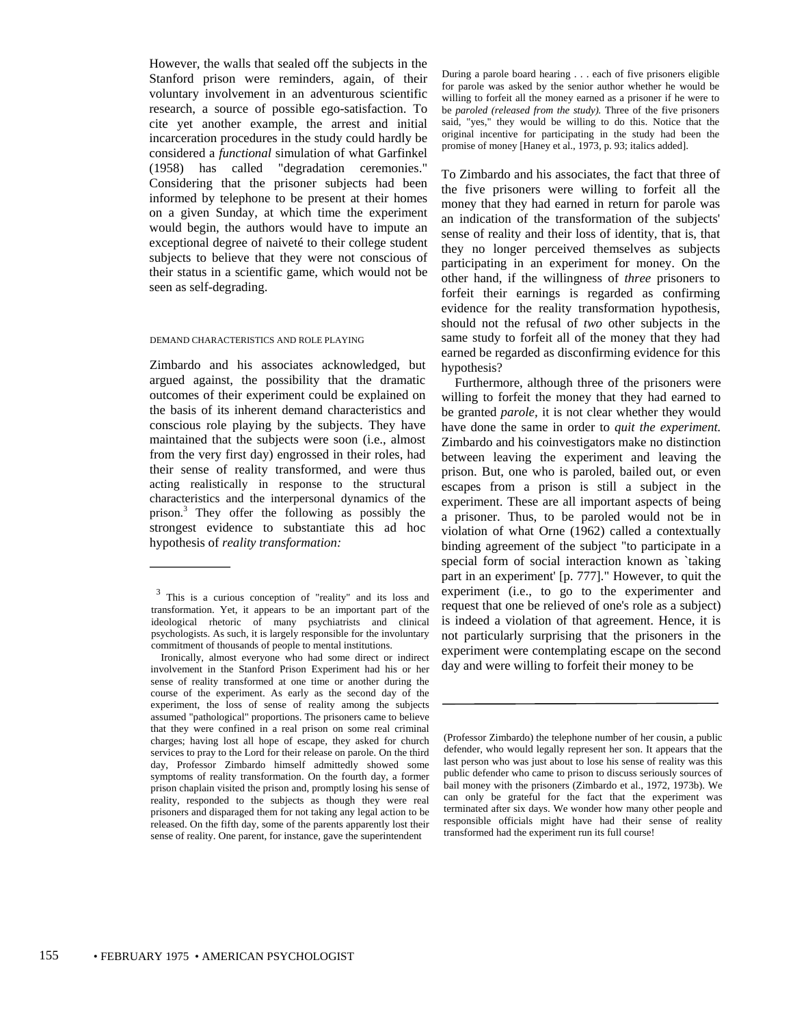However, the walls that sealed off the subjects in the Stanford prison were reminders, again, of their voluntary involvement in an adventurous scientific research, a source of possible ego-satisfaction. To cite yet another example, the arrest and initial incarceration procedures in the study could hardly be considered a *functional* simulation of what Garfinkel (1958) has called "degradation ceremonies." Considering that the prisoner subjects had been informed by telephone to be present at their homes on a given Sunday, at which time the experiment would begin, the authors would have to impute an exceptional degree of naiveté to their college student subjects to believe that they were not conscious of their status in a scientific game, which would not be seen as self-degrading.

#### DEMAND CHARACTERISTICS AND ROLE PLAYING

Zimbardo and his associates acknowledged, but argued against, the possibility that the dramatic outcomes of their experiment could be explained on the basis of its inherent demand characteristics and conscious role playing by the subjects. They have maintained that the subjects were soon (i.e., almost from the very first day) engrossed in their roles, had their sense of reality transformed, and were thus acting realistically in response to the structural characteristics and the interpersonal dynamics of the prison.<sup>3</sup> They offer the following as possibly the strongest evidence to substantiate this ad hoc hypothesis of *reality transformation:* 

During a parole board hearing . . . each of five prisoners eligible for parole was asked by the senior author whether he would be willing to forfeit all the money earned as a prisoner if he were to be *paroled (released from the study).* Three of the five prisoners said, "yes," they would be willing to do this. Notice that the original incentive for participating in the study had been the promise of money [Haney et al., 1973, p. 93; italics added].

To Zimbardo and his associates, the fact that three of the five prisoners were willing to forfeit all the money that they had earned in return for parole was an indication of the transformation of the subjects' sense of reality and their loss of identity, that is, that they no longer perceived themselves as subjects participating in an experiment for money. On the other hand, if the willingness of *three* prisoners to forfeit their earnings is regarded as confirming evidence for the reality transformation hypothesis, should not the refusal of *two* other subjects in the same study to forfeit all of the money that they had earned be regarded as disconfirming evidence for this hypothesis?

Furthermore, although three of the prisoners were willing to forfeit the money that they had earned to be granted *parole,* it is not clear whether they would have done the same in order to *quit the experiment.*  Zimbardo and his coinvestigators make no distinction between leaving the experiment and leaving the prison. But, one who is paroled, bailed out, or even escapes from a prison is still a subject in the experiment. These are all important aspects of being a prisoner. Thus, to be paroled would not be in violation of what Orne (1962) called a contextually binding agreement of the subject "to participate in a special form of social interaction known as `taking part in an experiment' [p. 777]." However, to quit the experiment (i.e., to go to the experimenter and request that one be relieved of one's role as a subject) is indeed a violation of that agreement. Hence, it is not particularly surprising that the prisoners in the experiment were contemplating escape on the second day and were willing to forfeit their money to be

 <sup>3</sup> This is a curious conception of "reality" and its loss and transformation. Yet, it appears to be an important part of the ideological rhetoric of many psychiatrists and clinical psychologists. As such, it is largely responsible for the involuntary commitment of thousands of people to mental institutions.

Ironically, almost everyone who had some direct or indirect involvement in the Stanford Prison Experiment had his or her sense of reality transformed at one time or another during the course of the experiment. As early as the second day of the experiment, the loss of sense of reality among the subjects assumed "pathological" proportions. The prisoners came to believe that they were confined in a real prison on some real criminal charges; having lost all hope of escape, they asked for church services to pray to the Lord for their release on parole. On the third day, Professor Zimbardo himself admittedly showed some symptoms of reality transformation. On the fourth day, a former prison chaplain visited the prison and, promptly losing his sense of reality, responded to the subjects as though they were real prisoners and disparaged them for not taking any legal action to be released. On the fifth day, some of the parents apparently lost their sense of reality. One parent, for instance, gave the superintendent

<sup>(</sup>Professor Zimbardo) the telephone number of her cousin, a public defender, who would legally represent her son. It appears that the last person who was just about to lose his sense of reality was this public defender who came to prison to discuss seriously sources of bail money with the prisoners (Zimbardo et al., 1972, 1973b). We can only be grateful for the fact that the experiment was terminated after six days. We wonder how many other people and responsible officials might have had their sense of reality transformed had the experiment run its full course!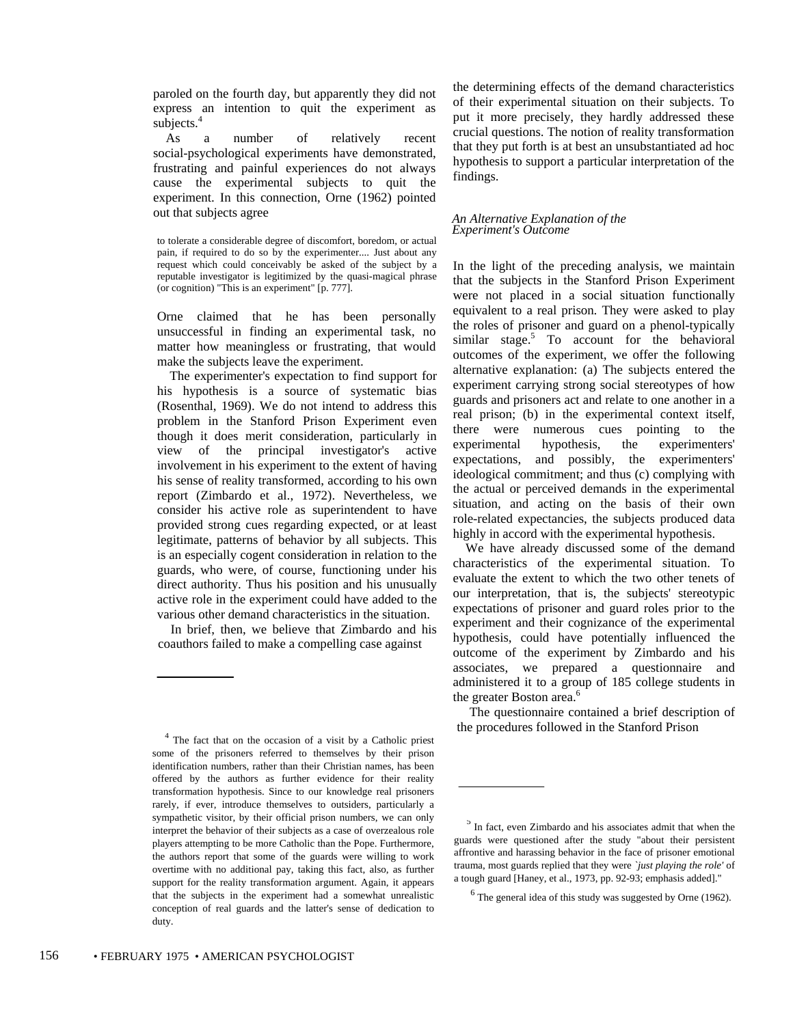paroled on the fourth day, but apparently they did not express an intention to quit the experiment as subjects.<sup>4</sup>

As a number of relatively recent social-psychological experiments have demonstrated, frustrating and painful experiences do not always cause the experimental subjects to quit the experiment. In this connection, Orne (1962) pointed out that subjects agree

Orne claimed that he has been personally unsuccessful in finding an experimental task, no matter how meaningless or frustrating, that would make the subjects leave the experiment.

The experimenter's expectation to find support for his hypothesis is a source of systematic bias (Rosenthal, 1969). We do not intend to address this problem in the Stanford Prison Experiment even though it does merit consideration, particularly in view of the principal investigator's active involvement in his experiment to the extent of having his sense of reality transformed, according to his own report (Zimbardo et al., 1972). Nevertheless, we consider his active role as superintendent to have provided strong cues regarding expected, or at least legitimate, patterns of behavior by all subjects. This is an especially cogent consideration in relation to the guards, who were, of course, functioning under his direct authority. Thus his position and his unusually active role in the experiment could have added to the various other demand characteristics in the situation.

In brief, then, we believe that Zimbardo and his coauthors failed to make a compelling case against

<sup>4</sup> The fact that on the occasion of a visit by a Catholic priest some of the prisoners referred to themselves by their prison identification numbers, rather than their Christian names, has been offered by the authors as further evidence for their reality transformation hypothesis. Since to our knowledge real prisoners rarely, if ever, introduce themselves to outsiders, particularly a sympathetic visitor, by their official prison numbers, we can only interpret the behavior of their subjects as a case of overzealous role players attempting to be more Catholic than the Pope. Furthermore, the authors report that some of the guards were willing to work overtime with no additional pay, taking this fact, also, as further support for the reality transformation argument. Again, it appears that the subjects in the experiment had a somewhat unrealistic conception of real guards and the latter's sense of dedication to duty.

the determining effects of the demand characteristics of their experimental situation on their subjects. To put it more precisely, they hardly addressed these crucial questions. The notion of reality transformation that they put forth is at best an unsubstantiated ad hoc hypothesis to support a particular interpretation of the findings.

#### *An Alternative Explanation of the Experiment's Outcome*

In the light of the preceding analysis, we maintain that the subjects in the Stanford Prison Experiment were not placed in a social situation functionally equivalent to a real prison. They were asked to play the roles of prisoner and guard on a phenol-typically similar stage.<sup>5</sup> To account for the behavioral outcomes of the experiment, we offer the following alternative explanation: (a) The subjects entered the experiment carrying strong social stereotypes of how guards and prisoners act and relate to one another in a real prison; (b) in the experimental context itself, there were numerous cues pointing to the experimental hypothesis, the experimenters' expectations, and possibly, the experimenters' ideological commitment; and thus (c) complying with the actual or perceived demands in the experimental situation, and acting on the basis of their own role-related expectancies, the subjects produced data highly in accord with the experimental hypothesis.

We have already discussed some of the demand characteristics of the experimental situation. To evaluate the extent to which the two other tenets of our interpretation, that is, the subjects' stereotypic expectations of prisoner and guard roles prior to the experiment and their cognizance of the experimental hypothesis, could have potentially influenced the outcome of the experiment by Zimbardo and his associates, we prepared a questionnaire and administered it to a group of 185 college students in the greater Boston area.<sup>6</sup>

The questionnaire contained a brief description of the procedures followed in the Stanford Prison

to tolerate a considerable degree of discomfort, boredom, or actual pain, if required to do so by the experimenter.... Just about any request which could conceivably be asked of the subject by a reputable investigator is legitimized by the quasi-magical phrase (or cognition) "This is an experiment" [p. 777].

<sup>5</sup> In fact, even Zimbardo and his associates admit that when the guards were questioned after the study "about their persistent affrontive and harassing behavior in the face of prisoner emotional trauma, most guards replied that they were *`just playing the role'* of a tough guard [Haney, et al., 1973, pp. 92-93; emphasis added]."

 $6$  The general idea of this study was suggested by Orne (1962).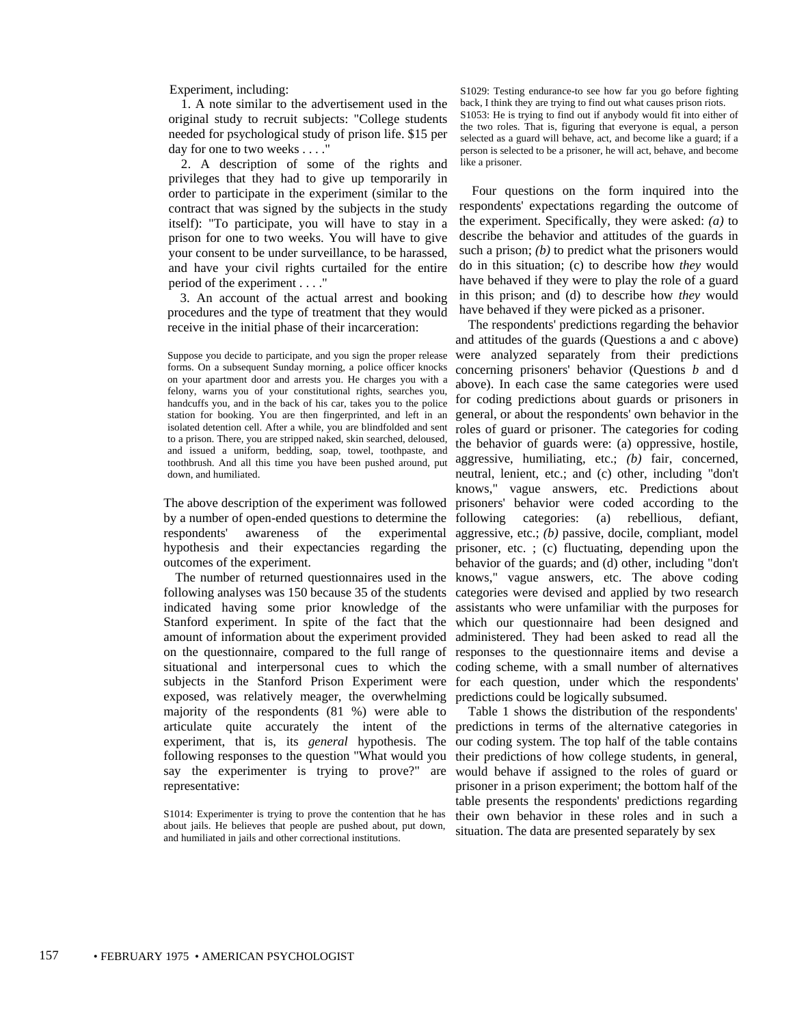Experiment, including:

1. A note similar to the advertisement used in the original study to recruit subjects: "College students needed for psychological study of prison life. \$15 per day for one to two weeks . . . ."

2. A description of some of the rights and privileges that they had to give up temporarily in order to participate in the experiment (similar to the contract that was signed by the subjects in the study itself): "To participate, you will have to stay in a prison for one to two weeks. You will have to give your consent to be under surveillance, to be harassed, and have your civil rights curtailed for the entire period of the experiment . . . ."

3. An account of the actual arrest and booking procedures and the type of treatment that they would receive in the initial phase of their incarceration:

Suppose you decide to participate, and you sign the proper release forms. On a subsequent Sunday morning, a police officer knocks on your apartment door and arrests you. He charges you with a felony, warns you of your constitutional rights, searches you, handcuffs you, and in the back of his car, takes you to the police station for booking. You are then fingerprinted, and left in an isolated detention cell. After a while, you are blindfolded and sent to a prison. There, you are stripped naked, skin searched, deloused, and issued a uniform, bedding, soap, towel, toothpaste, and toothbrush. And all this time you have been pushed around, put down, and humiliated.

The above description of the experiment was followed by a number of open-ended questions to determine the respondents' awareness of the experimental hypothesis and their expectancies regarding the outcomes of the experiment.

The number of returned questionnaires used in the following analyses was 150 because 35 of the students indicated having some prior knowledge of the Stanford experiment. In spite of the fact that the amount of information about the experiment provided on the questionnaire, compared to the full range of situational and interpersonal cues to which the subjects in the Stanford Prison Experiment were exposed, was relatively meager, the overwhelming majority of the respondents (81 %) were able to articulate quite accurately the intent of the experiment, that is, its *general* hypothesis. The following responses to the question "What would you say the experimenter is trying to prove?" are representative:

S1014: Experimenter is trying to prove the contention that he has about jails. He believes that people are pushed about, put down, and humiliated in jails and other correctional institutions.

S1029: Testing endurance-to see how far you go before fighting back, I think they are trying to find out what causes prison riots. S1053: He is trying to find out if anybody would fit into either of the two roles. That is, figuring that everyone is equal, a person selected as a guard will behave, act, and become like a guard; if a person is selected to be a prisoner, he will act, behave, and become like a prisoner.

Four questions on the form inquired into the respondents' expectations regarding the outcome of the experiment. Specifically, they were asked: *(a)* to describe the behavior and attitudes of the guards in such a prison; *(b)* to predict what the prisoners would do in this situation; (c) to describe how *they* would have behaved if they were to play the role of a guard in this prison; and (d) to describe how *they* would have behaved if they were picked as a prisoner.

The respondents' predictions regarding the behavior and attitudes of the guards (Questions a and c above) were analyzed separately from their predictions concerning prisoners' behavior (Questions *b* and d above). In each case the same categories were used for coding predictions about guards or prisoners in general, or about the respondents' own behavior in the roles of guard or prisoner. The categories for coding the behavior of guards were: (a) oppressive, hostile, aggressive, humiliating, etc.; *(b)* fair, concerned, neutral, lenient, etc.; and (c) other, including "don't knows," vague answers, etc. Predictions about prisoners' behavior were coded according to the following categories: (a) rebellious, defiant, aggressive, etc.; *(b)* passive, docile, compliant, model prisoner, etc. ; (c) fluctuating, depending upon the behavior of the guards; and (d) other, including "don't knows," vague answers, etc. The above coding categories were devised and applied by two research assistants who were unfamiliar with the purposes for which our questionnaire had been designed and administered. They had been asked to read all the responses to the questionnaire items and devise a coding scheme, with a small number of alternatives for each question, under which the respondents' predictions could be logically subsumed.

Table 1 shows the distribution of the respondents' predictions in terms of the alternative categories in our coding system. The top half of the table contains their predictions of how college students, in general, would behave if assigned to the roles of guard or prisoner in a prison experiment; the bottom half of the table presents the respondents' predictions regarding their own behavior in these roles and in such a situation. The data are presented separately by sex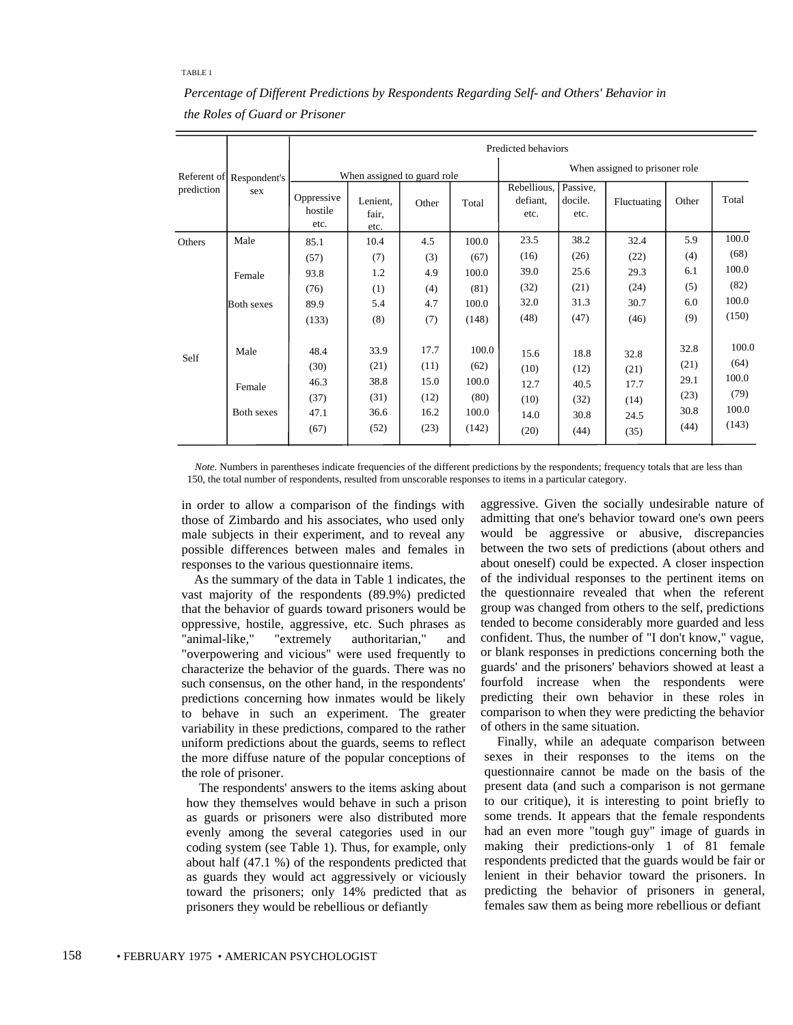### TABLE 1

*Percentage of Different Predictions by Respondents Regarding Self- and Others' Behavior in the Roles of Guard or Prisoner*

|            | Referent of Respondent's<br>sex | Predicted behaviors           |                           |              |               |                                 |                             |              |              |               |
|------------|---------------------------------|-------------------------------|---------------------------|--------------|---------------|---------------------------------|-----------------------------|--------------|--------------|---------------|
| prediction |                                 | When assigned to guard role   |                           |              |               | When assigned to prisoner role  |                             |              |              |               |
|            |                                 | Oppressive<br>hostile<br>etc. | Lenient.<br>fair.<br>etc. | Other        | Total         | Rebellious.<br>defiant,<br>etc. | Passive,<br>docile.<br>etc. | Fluctuating  | Other        | Total         |
| Others     | Male                            | 85.1                          | 10.4                      | 4.5          | 100.0         | 23.5                            | 38.2                        | 32.4         | 5.9          | 100.0         |
|            |                                 | (57)                          | (7)                       | (3)          | (67)          | (16)                            | (26)                        | (22)         | (4)          | (68)          |
|            | Female                          | 93.8                          | 1.2                       | 4.9          | 100.0         | 39.0                            | 25.6                        | 29.3         | 6.1          | 100.0         |
|            |                                 | (76)                          | (1)                       | (4)          | (81)          | (32)                            | (21)                        | (24)         | (5)          | (82)          |
|            | Both sexes                      | 89.9                          | 5.4                       | 4.7          | 100.0         | 32.0                            | 31.3                        | 30.7         | 6.0          | 100.0         |
|            |                                 | (133)                         | (8)                       | (7)          | (148)         | (48)                            | (47)                        | (46)         | (9)          | (150)         |
| Self       | Male                            | 48.4<br>(30)                  | 33.9<br>(21)              | 17.7<br>(11) | 100.0<br>(62) | 15.6<br>(10)                    | 18.8<br>(12)                | 32.8<br>(21) | 32.8<br>(21) | 100.0<br>(64) |
|            | Female                          | 46.3                          | 38.8                      | 15.0         | 100.0         | 12.7                            | 40.5                        | 17.7         | 29.1         | 100.0         |
|            |                                 | (37)                          | (31)                      | (12)         | (80)          | (10)                            | (32)                        | (14)         | (23)         | (79)          |
|            | Both sexes                      | 47.1                          | 36.6                      | 16.2         | 100.0         | 14.0                            | 30.8                        | 24.5         | 30.8         | 100.0         |
|            |                                 | (67)                          | (52)                      | (23)         | (142)         | (20)                            | (44)                        | (35)         | (44)         | (143)         |

*Note.* Numbers in parentheses indicate frequencies of the different predictions by the respondents; frequency totals that are less than 150, the total number of respondents, resulted from unscorable responses to items in a particular category.

in order to allow a comparison of the findings with those of Zimbardo and his associates, who used only male subjects in their experiment, and to reveal any possible differences between males and females in responses to the various questionnaire items.

As the summary of the data in Table 1 indicates, the vast majority of the respondents (89.9%) predicted that the behavior of guards toward prisoners would be oppressive, hostile, aggressive, etc. Such phrases as "animal-like," "extremely authoritarian," and "overpowering and vicious" were used frequently to characterize the behavior of the guards. There was no such consensus, on the other hand, in the respondents' predictions concerning how inmates would be likely to behave in such an experiment. The greater variability in these predictions, compared to the rather uniform predictions about the guards, seems to reflect the more diffuse nature of the popular conceptions of the role of prisoner.

The respondents' answers to the items asking about how they themselves would behave in such a prison as guards or prisoners were also distributed more evenly among the several categories used in our coding system (see Table 1). Thus, for example, only about half (47.1 %) of the respondents predicted that as guards they would act aggressively or viciously toward the prisoners; only 14% predicted that as prisoners they would be rebellious or defiantly

aggressive. Given the socially undesirable nature of admitting that one's behavior toward one's own peers would be aggressive or abusive, discrepancies between the two sets of predictions (about others and about oneself) could be expected. A closer inspection of the individual responses to the pertinent items on the questionnaire revealed that when the referent group was changed from others to the self, predictions tended to become considerably more guarded and less confident. Thus, the number of "I don't know," vague, or blank responses in predictions concerning both the guards' and the prisoners' behaviors showed at least a fourfold increase when the respondents were predicting their own behavior in these roles in comparison to when they were predicting the behavior of others in the same situation.

Finally, while an adequate comparison between sexes in their responses to the items on the questionnaire cannot be made on the basis of the present data (and such a comparison is not germane to our critique), it is interesting to point briefly to some trends. It appears that the female respondents had an even more "tough guy" image of guards in making their predictions-only 1 of 81 female respondents predicted that the guards would be fair or lenient in their behavior toward the prisoners. In predicting the behavior of prisoners in general, females saw them as being more rebellious or defiant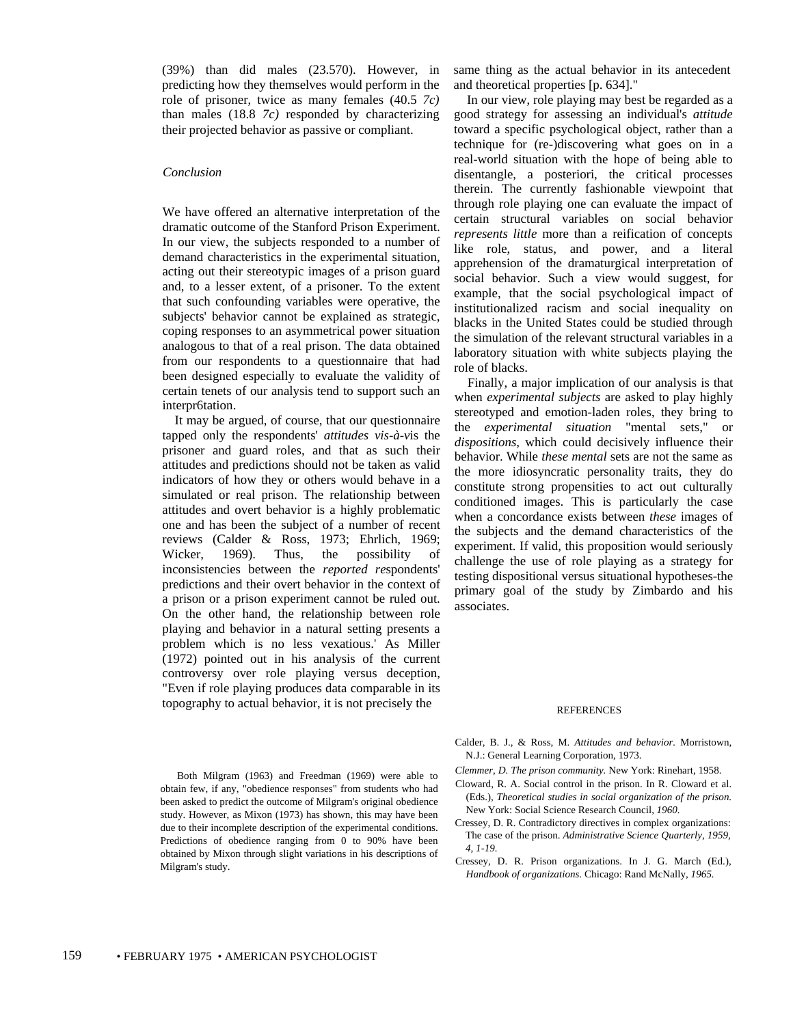(39%) than did males (23.570). However, in predicting how they themselves would perform in the role of prisoner, twice as many females (40.5 *7c)* than males (18.8 *7c)* responded by characterizing their projected behavior as passive or compliant.

## *Conclusion*

We have offered an alternative interpretation of the dramatic outcome of the Stanford Prison Experiment. In our view, the subjects responded to a number of demand characteristics in the experimental situation, acting out their stereotypic images of a prison guard and, to a lesser extent, of a prisoner. To the extent that such confounding variables were operative, the subjects' behavior cannot be explained as strategic, coping responses to an asymmetrical power situation analogous to that of a real prison. The data obtained from our respondents to a questionnaire that had been designed especially to evaluate the validity of certain tenets of our analysis tend to support such an interpr6tation.

It may be argued, of course, that our questionnaire tapped only the respondents' *attitudes vis-à-v*is the prisoner and guard roles, and that as such their attitudes and predictions should not be taken as valid indicators of how they or others would behave in a simulated or real prison. The relationship between attitudes and overt behavior is a highly problematic one and has been the subject of a number of recent reviews (Calder & Ross, 1973; Ehrlich, 1969; Wicker, 1969). Thus, the possibility of inconsistencies between the *reported re*spondents' predictions and their overt behavior in the context of a prison or a prison experiment cannot be ruled out. On the other hand, the relationship between role playing and behavior in a natural setting presents a problem which is no less vexatious.' As Miller (1972) pointed out in his analysis of the current controversy over role playing versus deception, "Even if role playing produces data comparable in its topography to actual behavior, it is not precisely the

Both Milgram (1963) and Freedman (1969) were able to obtain few, if any, "obedience responses" from students who had been asked to predict the outcome of Milgram's original obedience study. However, as Mixon (1973) has shown, this may have been due to their incomplete description of the experimental conditions. Predictions of obedience ranging from 0 to 90% have been obtained by Mixon through slight variations in his descriptions of Milgram's study.

same thing as the actual behavior in its antecedent and theoretical properties [p. 634]."

In our view, role playing may best be regarded as a good strategy for assessing an individual's *attitude* toward a specific psychological object, rather than a technique for (re-)discovering what goes on in a real-world situation with the hope of being able to disentangle, a posteriori, the critical processes therein. The currently fashionable viewpoint that through role playing one can evaluate the impact of certain structural variables on social behavior *represents little* more than a reification of concepts like role, status, and power, and a literal apprehension of the dramaturgical interpretation of social behavior. Such a view would suggest, for example, that the social psychological impact of institutionalized racism and social inequality on blacks in the United States could be studied through the simulation of the relevant structural variables in a laboratory situation with white subjects playing the role of blacks.

Finally, a major implication of our analysis is that when *experimental subjects* are asked to play highly stereotyped and emotion-laden roles, they bring to the *experimental situation* "mental sets," or *dispositions,* which could decisively influence their behavior. While *these mental* sets are not the same as the more idiosyncratic personality traits, they do constitute strong propensities to act out culturally conditioned images. This is particularly the case when a concordance exists between *these* images of the subjects and the demand characteristics of the experiment. If valid, this proposition would seriously challenge the use of role playing as a strategy for testing dispositional versus situational hypotheses-the primary goal of the study by Zimbardo and his associates.

#### REFERENCES

- Calder, B. J., & Ross, M. *Attitudes and behavior.* Morristown, N.J.: General Learning Corporation, 1973.
- *Clemmer, D. The prison community.* New York: Rinehart, 1958.
- Cloward, R. A. Social control in the prison. In R. Cloward et al. (Eds.), *Theoretical studies in social organization of the prison.* New York: Social Science Research Council, *1960.*
- Cressey, D. R. Contradictory directives in complex organizations: The case of the prison. *Administrative Science Quarterly, 1959, 4, 1-19.*
- Cressey, D. R. Prison organizations. In J. G. March (Ed.), *Handbook of organizations.* Chicago: Rand McNally, *1965.*